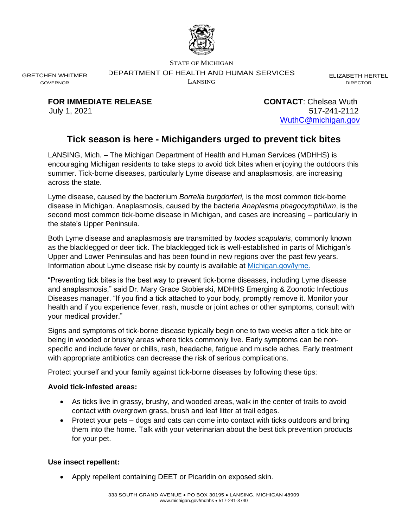

STATE OF MICHIGAN

DEPARTMENT OF HEALTH AND HUMAN SERVICES

LANSING

ELIZABETH HERTEL DIRECTOR

GRETCHEN WHITMER GOVERNOR

**FOR IMMEDIATE RELEASE CONTACT**: Chelsea Wuth

July 1, 2021 517-241-2112 [WuthC@michigan.gov](mailto:WuthC@michigan.gov)

# **Tick season is here - Michiganders urged to prevent tick bites**

LANSING, Mich. – The Michigan Department of Health and Human Services (MDHHS) is encouraging Michigan residents to take steps to avoid tick bites when enjoying the outdoors this summer. Tick-borne diseases, particularly Lyme disease and anaplasmosis, are increasing across the state.

Lyme disease, caused by the bacterium *Borrelia burgdorferi,* is the most common tick-borne disease in Michigan. Anaplasmosis, caused by the bacteria *Anaplasma phagocytophilum*, is the second most common tick-borne disease in Michigan, and cases are increasing – particularly in the state's Upper Peninsula.

Both Lyme disease and anaplasmosis are transmitted by *Ixodes scapularis*, commonly known as the blacklegged or deer tick. The blacklegged tick is well-established in parts of Michigan's Upper and Lower Peninsulas and has been found in new regions over the past few years. Information about Lyme disease risk by county is available at [Michigan.gov/lyme.](https://www.michigan.gov/emergingdiseases/0,4579,7-186-76711_77928---,00.html)

"Preventing tick bites is the best way to prevent tick-borne diseases, including Lyme disease and anaplasmosis," said Dr. Mary Grace Stobierski, MDHHS Emerging & Zoonotic Infectious Diseases manager. "If you find a tick attached to your body, promptly remove it. Monitor your health and if you experience fever, rash, muscle or joint aches or other symptoms, consult with your medical provider."

Signs and symptoms of tick-borne disease typically begin one to two weeks after a tick bite or being in wooded or brushy areas where ticks commonly live. Early symptoms can be nonspecific and include fever or chills, rash, headache, fatigue and muscle aches. Early treatment with appropriate antibiotics can decrease the risk of serious complications.

Protect yourself and your family against tick-borne diseases by following these tips:

## **Avoid tick-infested areas:**

- As ticks live in grassy, brushy, and wooded areas, walk in the center of trails to avoid contact with overgrown grass, brush and leaf litter at trail edges.
- Protect your pets dogs and cats can come into contact with ticks outdoors and bring them into the home. Talk with your veterinarian about the best tick prevention products for your pet.

#### **Use insect repellent:**

• Apply repellent containing DEET or Picaridin on exposed skin.